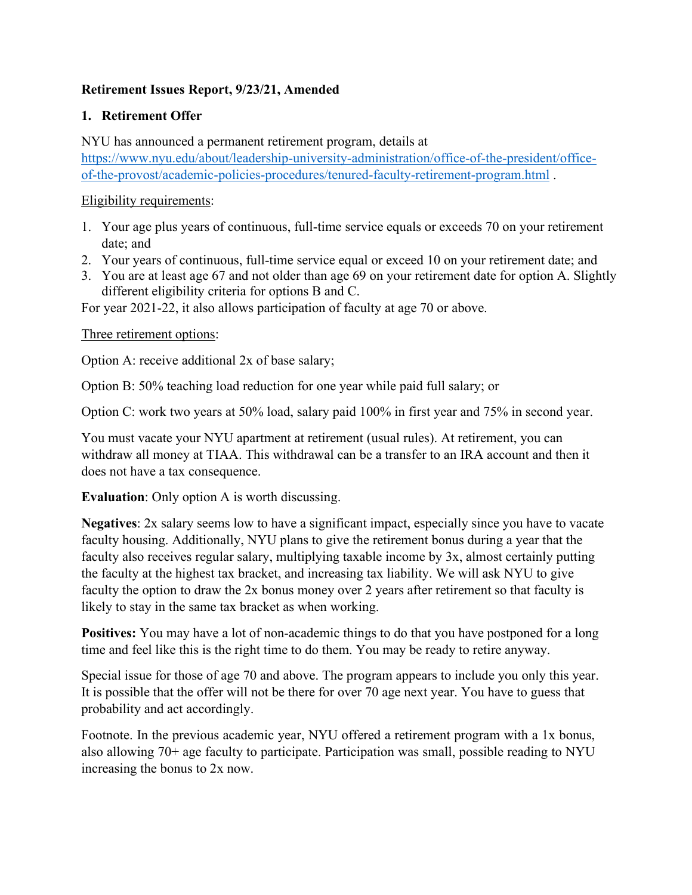# **Retirement Issues Report, 9/23/21, Amended**

# **1. Retirement Offer**

NYU has announced a permanent retirement program, details at [https://www.nyu.edu/about/leadership-university-administration/office-of-the-president/office](https://www.nyu.edu/about/leadership-university-administration/office-of-the-president/office-of-the-provost/academic-policies-procedures/tenured-faculty-retirement-program.html)[of-the-provost/academic-policies-procedures/tenured-faculty-retirement-program.html](https://www.nyu.edu/about/leadership-university-administration/office-of-the-president/office-of-the-provost/academic-policies-procedures/tenured-faculty-retirement-program.html) .

### Eligibility requirements:

- 1. Your age plus years of continuous, full-time service equals or exceeds 70 on your retirement date; and
- 2. Your years of continuous, full-time service equal or exceed 10 on your retirement date; and
- 3. You are at least age 67 and not older than age 69 on your retirement date for option A. Slightly different eligibility criteria for options B and C.

For year 2021-22, it also allows participation of faculty at age 70 or above.

## Three retirement options:

Option A: receive additional 2x of base salary;

Option B: 50% teaching load reduction for one year while paid full salary; or

Option C: work two years at 50% load, salary paid 100% in first year and 75% in second year.

You must vacate your NYU apartment at retirement (usual rules). At retirement, you can withdraw all money at TIAA. This withdrawal can be a transfer to an IRA account and then it does not have a tax consequence.

**Evaluation**: Only option A is worth discussing.

**Negatives**: 2x salary seems low to have a significant impact, especially since you have to vacate faculty housing. Additionally, NYU plans to give the retirement bonus during a year that the faculty also receives regular salary, multiplying taxable income by 3x, almost certainly putting the faculty at the highest tax bracket, and increasing tax liability. We will ask NYU to give faculty the option to draw the 2x bonus money over 2 years after retirement so that faculty is likely to stay in the same tax bracket as when working.

**Positives:** You may have a lot of non-academic things to do that you have postponed for a long time and feel like this is the right time to do them. You may be ready to retire anyway.

Special issue for those of age 70 and above. The program appears to include you only this year. It is possible that the offer will not be there for over 70 age next year. You have to guess that probability and act accordingly.

Footnote. In the previous academic year, NYU offered a retirement program with a 1x bonus, also allowing 70+ age faculty to participate. Participation was small, possible reading to NYU increasing the bonus to 2x now.